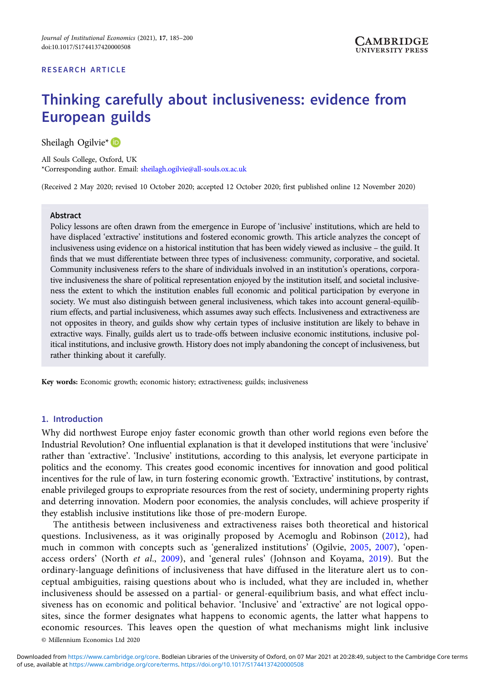# Thinking carefully about inclusiveness: evidence from European guilds

Sheilagh Ogilvie\* D

All Souls College, Oxford, UK \*Corresponding author. Email: [sheilagh.ogilvie@all-souls.ox.ac.uk](mailto:sheilagh.ogilvie@all-souls.ox.ac.uk)

(Received 2 May 2020; revised 10 October 2020; accepted 12 October 2020; first published online 12 November 2020)

#### Abstract

Policy lessons are often drawn from the emergence in Europe of 'inclusive' institutions, which are held to have displaced 'extractive' institutions and fostered economic growth. This article analyzes the concept of inclusiveness using evidence on a historical institution that has been widely viewed as inclusive – the guild. It finds that we must differentiate between three types of inclusiveness: community, corporative, and societal. Community inclusiveness refers to the share of individuals involved in an institution's operations, corporative inclusiveness the share of political representation enjoyed by the institution itself, and societal inclusiveness the extent to which the institution enables full economic and political participation by everyone in society. We must also distinguish between general inclusiveness, which takes into account general-equilibrium effects, and partial inclusiveness, which assumes away such effects. Inclusiveness and extractiveness are not opposites in theory, and guilds show why certain types of inclusive institution are likely to behave in extractive ways. Finally, guilds alert us to trade-offs between inclusive economic institutions, inclusive political institutions, and inclusive growth. History does not imply abandoning the concept of inclusiveness, but rather thinking about it carefully.

Key words: Economic growth; economic history; extractiveness; guilds; inclusiveness

## 1. Introduction

Why did northwest Europe enjoy faster economic growth than other world regions even before the Industrial Revolution? One influential explanation is that it developed institutions that were 'inclusive' rather than 'extractive'. 'Inclusive' institutions, according to this analysis, let everyone participate in politics and the economy. This creates good economic incentives for innovation and good political incentives for the rule of law, in turn fostering economic growth. 'Extractive' institutions, by contrast, enable privileged groups to expropriate resources from the rest of society, undermining property rights and deterring innovation. Modern poor economies, the analysis concludes, will achieve prosperity if they establish inclusive institutions like those of pre-modern Europe.

The antithesis between inclusiveness and extractiveness raises both theoretical and historical questions. Inclusiveness, as it was originally proposed by Acemoglu and Robinson [\(2012\)](#page-13-0), had much in common with concepts such as 'generalized institutions' (Ogilvie, [2005](#page-14-0), [2007\)](#page-14-0), 'open-access orders' (North et al., [2009](#page-14-0)), and 'general rules' (Johnson and Koyama, [2019\)](#page-13-0). But the ordinary-language definitions of inclusiveness that have diffused in the literature alert us to conceptual ambiguities, raising questions about who is included, what they are included in, whether inclusiveness should be assessed on a partial- or general-equilibrium basis, and what effect inclusiveness has on economic and political behavior. 'Inclusive' and 'extractive' are not logical opposites, since the former designates what happens to economic agents, the latter what happens to economic resources. This leaves open the question of what mechanisms might link inclusive © Millennium Economics Ltd 2020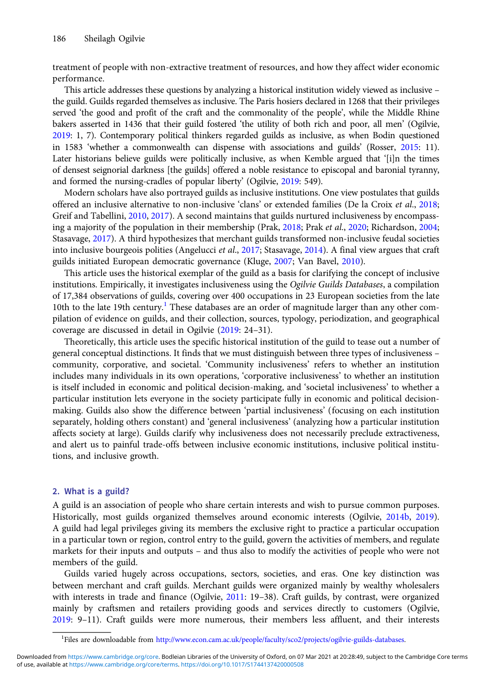treatment of people with non-extractive treatment of resources, and how they affect wider economic performance.

This article addresses these questions by analyzing a historical institution widely viewed as inclusive – the guild. Guilds regarded themselves as inclusive. The Paris hosiers declared in 1268 that their privileges served 'the good and profit of the craft and the commonality of the people', while the Middle Rhine bakers asserted in 1436 that their guild fostered 'the utility of both rich and poor, all men' (Ogilvie, [2019](#page-14-0): 1, 7). Contemporary political thinkers regarded guilds as inclusive, as when Bodin questioned in 1583 'whether a commonwealth can dispense with associations and guilds' (Rosser, [2015](#page-14-0): 11). Later historians believe guilds were politically inclusive, as when Kemble argued that '[i]n the times of densest seignorial darkness [the guilds] offered a noble resistance to episcopal and baronial tyranny, and formed the nursing-cradles of popular liberty' (Ogilvie, [2019:](#page-14-0) 549).

Modern scholars have also portrayed guilds as inclusive institutions. One view postulates that guilds offered an inclusive alternative to non-inclusive 'clans' or extended families (De la Croix et al., [2018;](#page-13-0) Greif and Tabellini, [2010](#page-13-0), [2017\)](#page-13-0). A second maintains that guilds nurtured inclusiveness by encompassing a majority of the population in their membership (Prak, [2018;](#page-14-0) Prak et al., [2020;](#page-14-0) Richardson, [2004;](#page-14-0) Stasavage, [2017\)](#page-15-0). A third hypothesizes that merchant guilds transformed non-inclusive feudal societies into inclusive bourgeois polities (Angelucci et al., [2017](#page-13-0); Stasavage, [2014](#page-15-0)). A final view argues that craft guilds initiated European democratic governance (Kluge, [2007;](#page-13-0) Van Bavel, [2010](#page-15-0)).

This article uses the historical exemplar of the guild as a basis for clarifying the concept of inclusive institutions. Empirically, it investigates inclusiveness using the Ogilvie Guilds Databases, a compilation of 17,384 observations of guilds, covering over 400 occupations in 23 European societies from the late 10th to the late 19th century.<sup>1</sup> These databases are an order of magnitude larger than any other compilation of evidence on guilds, and their collection, sources, typology, periodization, and geographical coverage are discussed in detail in Ogilvie [\(2019](#page-14-0): 24–31).

Theoretically, this article uses the specific historical institution of the guild to tease out a number of general conceptual distinctions. It finds that we must distinguish between three types of inclusiveness – community, corporative, and societal. 'Community inclusiveness' refers to whether an institution includes many individuals in its own operations, 'corporative inclusiveness' to whether an institution is itself included in economic and political decision-making, and 'societal inclusiveness' to whether a particular institution lets everyone in the society participate fully in economic and political decisionmaking. Guilds also show the difference between 'partial inclusiveness' (focusing on each institution separately, holding others constant) and 'general inclusiveness' (analyzing how a particular institution affects society at large). Guilds clarify why inclusiveness does not necessarily preclude extractiveness, and alert us to painful trade-offs between inclusive economic institutions, inclusive political institutions, and inclusive growth.

## 2. What is a guild?

A guild is an association of people who share certain interests and wish to pursue common purposes. Historically, most guilds organized themselves around economic interests (Ogilvie, [2014b,](#page-14-0) [2019](#page-14-0)). A guild had legal privileges giving its members the exclusive right to practice a particular occupation in a particular town or region, control entry to the guild, govern the activities of members, and regulate markets for their inputs and outputs – and thus also to modify the activities of people who were not members of the guild.

Guilds varied hugely across occupations, sectors, societies, and eras. One key distinction was between merchant and craft guilds. Merchant guilds were organized mainly by wealthy wholesalers with interests in trade and finance (Ogilvie, [2011:](#page-14-0) 19-38). Craft guilds, by contrast, were organized mainly by craftsmen and retailers providing goods and services directly to customers (Ogilvie, [2019:](#page-14-0) 9–11). Craft guilds were more numerous, their members less affluent, and their interests

<sup>&</sup>lt;sup>1</sup>Files are downloadable from [http://www.econ.cam.ac.uk/people/faculty/sco2/projects/ogilvie-guilds-databases.](http://www.econ.cam.ac.uk/people/faculty/sco2/projects/ogilvie-guilds-databases)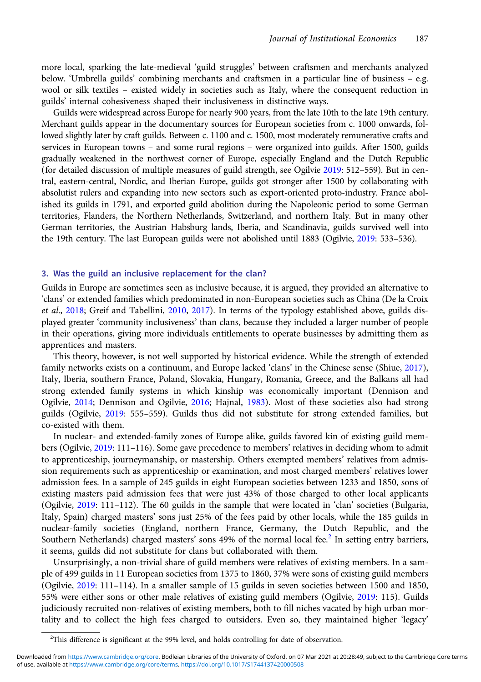more local, sparking the late-medieval 'guild struggles' between craftsmen and merchants analyzed below. 'Umbrella guilds' combining merchants and craftsmen in a particular line of business – e.g. wool or silk textiles – existed widely in societies such as Italy, where the consequent reduction in guilds' internal cohesiveness shaped their inclusiveness in distinctive ways.

Guilds were widespread across Europe for nearly 900 years, from the late 10th to the late 19th century. Merchant guilds appear in the documentary sources for European societies from c. 1000 onwards, followed slightly later by craft guilds. Between c. 1100 and c. 1500, most moderately remunerative crafts and services in European towns – and some rural regions – were organized into guilds. After 1500, guilds gradually weakened in the northwest corner of Europe, especially England and the Dutch Republic (for detailed discussion of multiple measures of guild strength, see Ogilvie [2019](#page-14-0): 512–559). But in central, eastern-central, Nordic, and Iberian Europe, guilds got stronger after 1500 by collaborating with absolutist rulers and expanding into new sectors such as export-oriented proto-industry. France abolished its guilds in 1791, and exported guild abolition during the Napoleonic period to some German territories, Flanders, the Northern Netherlands, Switzerland, and northern Italy. But in many other German territories, the Austrian Habsburg lands, Iberia, and Scandinavia, guilds survived well into the 19th century. The last European guilds were not abolished until 1883 (Ogilvie, [2019:](#page-14-0) 533–536).

## 3. Was the guild an inclusive replacement for the clan?

Guilds in Europe are sometimes seen as inclusive because, it is argued, they provided an alternative to 'clans' or extended families which predominated in non-European societies such as China (De la Croix et al., [2018](#page-13-0); Greif and Tabellini, [2010](#page-13-0), [2017](#page-13-0)). In terms of the typology established above, guilds displayed greater 'community inclusiveness' than clans, because they included a larger number of people in their operations, giving more individuals entitlements to operate businesses by admitting them as apprentices and masters.

This theory, however, is not well supported by historical evidence. While the strength of extended family networks exists on a continuum, and Europe lacked 'clans' in the Chinese sense (Shiue, [2017\)](#page-15-0), Italy, Iberia, southern France, Poland, Slovakia, Hungary, Romania, Greece, and the Balkans all had strong extended family systems in which kinship was economically important (Dennison and Ogilvie, [2014](#page-13-0); Dennison and Ogilvie, [2016;](#page-13-0) Hajnal, [1983\)](#page-13-0). Most of these societies also had strong guilds (Ogilvie, [2019:](#page-14-0) 555–559). Guilds thus did not substitute for strong extended families, but co-existed with them.

In nuclear- and extended-family zones of Europe alike, guilds favored kin of existing guild members (Ogilvie, [2019](#page-14-0): 111–116). Some gave precedence to members' relatives in deciding whom to admit to apprenticeship, journeymanship, or mastership. Others exempted members' relatives from admission requirements such as apprenticeship or examination, and most charged members' relatives lower admission fees. In a sample of 245 guilds in eight European societies between 1233 and 1850, sons of existing masters paid admission fees that were just 43% of those charged to other local applicants (Ogilvie, [2019:](#page-14-0) 111–112). The 60 guilds in the sample that were located in 'clan' societies (Bulgaria, Italy, Spain) charged masters' sons just 25% of the fees paid by other locals, while the 185 guilds in nuclear-family societies (England, northern France, Germany, the Dutch Republic, and the Southern Netherlands) charged masters' sons  $49\%$  of the normal local fee.<sup>2</sup> In setting entry barriers, it seems, guilds did not substitute for clans but collaborated with them.

Unsurprisingly, a non-trivial share of guild members were relatives of existing members. In a sample of 499 guilds in 11 European societies from 1375 to 1860, 37% were sons of existing guild members (Ogilvie, [2019:](#page-14-0) 111–114). In a smaller sample of 15 guilds in seven societies between 1500 and 1850, 55% were either sons or other male relatives of existing guild members (Ogilvie, [2019](#page-14-0): 115). Guilds judiciously recruited non-relatives of existing members, both to fill niches vacated by high urban mortality and to collect the high fees charged to outsiders. Even so, they maintained higher 'legacy'

<sup>&</sup>lt;sup>2</sup>This difference is significant at the 99% level, and holds controlling for date of observation.

of use, available at [https://www.cambridge.org/core/terms.](https://www.cambridge.org/core/terms) <https://doi.org/10.1017/S1744137420000508> Downloaded from [https://www.cambridge.org/core.](https://www.cambridge.org/core) Bodleian Libraries of the University of Oxford, on 07 Mar 2021 at 20:28:49, subject to the Cambridge Core terms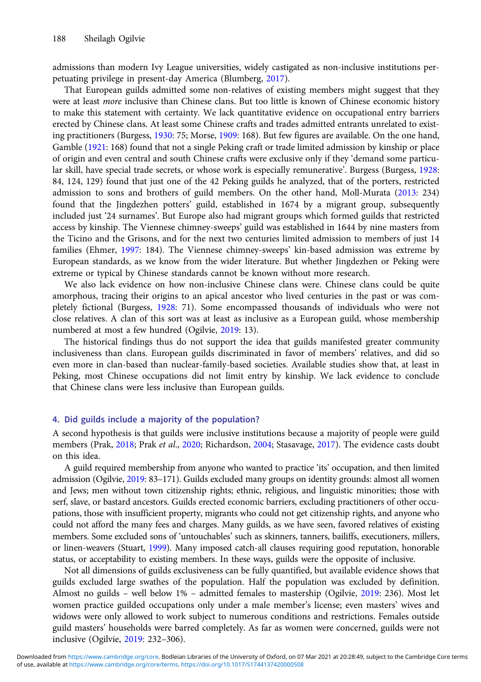admissions than modern Ivy League universities, widely castigated as non-inclusive institutions perpetuating privilege in present-day America (Blumberg, [2017\)](#page-13-0).

That European guilds admitted some non-relatives of existing members might suggest that they were at least *more* inclusive than Chinese clans. But too little is known of Chinese economic history to make this statement with certainty. We lack quantitative evidence on occupational entry barriers erected by Chinese clans. At least some Chinese crafts and trades admitted entrants unrelated to existing practitioners (Burgess, [1930:](#page-13-0) 75; Morse, [1909](#page-14-0): 168). But few figures are available. On the one hand, Gamble [\(1921:](#page-13-0) 168) found that not a single Peking craft or trade limited admission by kinship or place of origin and even central and south Chinese crafts were exclusive only if they 'demand some particular skill, have special trade secrets, or whose work is especially remunerative'. Burgess (Burgess, [1928:](#page-13-0) 84, 124, 129) found that just one of the 42 Peking guilds he analyzed, that of the porters, restricted admission to sons and brothers of guild members. On the other hand, Moll-Murata [\(2013:](#page-14-0) 234) found that the Jingdezhen potters' guild, established in 1674 by a migrant group, subsequently included just '24 surnames'. But Europe also had migrant groups which formed guilds that restricted access by kinship. The Viennese chimney-sweeps' guild was established in 1644 by nine masters from the Ticino and the Grisons, and for the next two centuries limited admission to members of just 14 families (Ehmer, [1997:](#page-13-0) 184). The Viennese chimney-sweeps' kin-based admission was extreme by European standards, as we know from the wider literature. But whether Jingdezhen or Peking were extreme or typical by Chinese standards cannot be known without more research.

We also lack evidence on how non-inclusive Chinese clans were. Chinese clans could be quite amorphous, tracing their origins to an apical ancestor who lived centuries in the past or was completely fictional (Burgess, [1928:](#page-13-0) 71). Some encompassed thousands of individuals who were not close relatives. A clan of this sort was at least as inclusive as a European guild, whose membership numbered at most a few hundred (Ogilvie, [2019](#page-14-0): 13).

The historical findings thus do not support the idea that guilds manifested greater community inclusiveness than clans. European guilds discriminated in favor of members' relatives, and did so even more in clan-based than nuclear-family-based societies. Available studies show that, at least in Peking, most Chinese occupations did not limit entry by kinship. We lack evidence to conclude that Chinese clans were less inclusive than European guilds.

## 4. Did guilds include a majority of the population?

A second hypothesis is that guilds were inclusive institutions because a majority of people were guild members (Prak, [2018;](#page-14-0) Prak et al., [2020;](#page-14-0) Richardson, [2004;](#page-14-0) Stasavage, [2017\)](#page-15-0). The evidence casts doubt on this idea.

A guild required membership from anyone who wanted to practice 'its' occupation, and then limited admission (Ogilvie, [2019](#page-14-0): 83–171). Guilds excluded many groups on identity grounds: almost all women and Jews; men without town citizenship rights; ethnic, religious, and linguistic minorities; those with serf, slave, or bastard ancestors. Guilds erected economic barriers, excluding practitioners of other occupations, those with insufficient property, migrants who could not get citizenship rights, and anyone who could not afford the many fees and charges. Many guilds, as we have seen, favored relatives of existing members. Some excluded sons of 'untouchables' such as skinners, tanners, bailiffs, executioners, millers, or linen-weavers (Stuart, [1999\)](#page-15-0). Many imposed catch-all clauses requiring good reputation, honorable status, or acceptability to existing members. In these ways, guilds were the opposite of inclusive.

Not all dimensions of guilds exclusiveness can be fully quantified, but available evidence shows that guilds excluded large swathes of the population. Half the population was excluded by definition. Almost no guilds – well below 1% – admitted females to mastership (Ogilvie, [2019:](#page-14-0) 236). Most let women practice guilded occupations only under a male member's license; even masters' wives and widows were only allowed to work subject to numerous conditions and restrictions. Females outside guild masters' households were barred completely. As far as women were concerned, guilds were not inclusive (Ogilvie, [2019](#page-14-0): 232–306).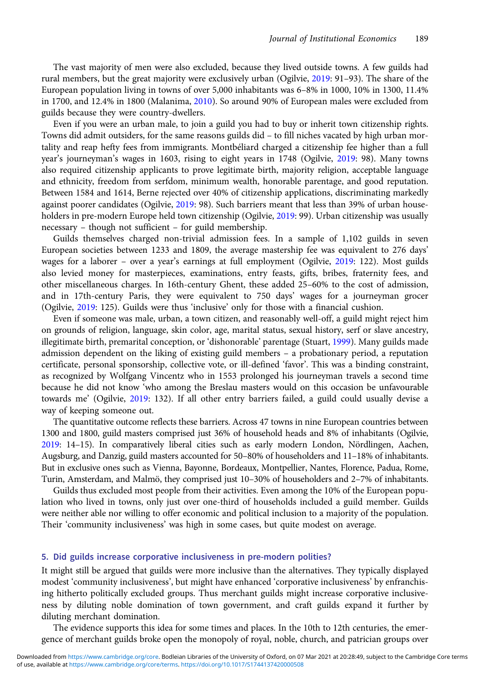The vast majority of men were also excluded, because they lived outside towns. A few guilds had rural members, but the great majority were exclusively urban (Ogilvie, [2019:](#page-14-0) 91–93). The share of the European population living in towns of over 5,000 inhabitants was 6–8% in 1000, 10% in 1300, 11.4% in 1700, and 12.4% in 1800 (Malanima, [2010\)](#page-14-0). So around 90% of European males were excluded from guilds because they were country-dwellers.

Even if you were an urban male, to join a guild you had to buy or inherit town citizenship rights. Towns did admit outsiders, for the same reasons guilds did – to fill niches vacated by high urban mortality and reap hefty fees from immigrants. Montbéliard charged a citizenship fee higher than a full year's journeyman's wages in 1603, rising to eight years in 1748 (Ogilvie, [2019](#page-14-0): 98). Many towns also required citizenship applicants to prove legitimate birth, majority religion, acceptable language and ethnicity, freedom from serfdom, minimum wealth, honorable parentage, and good reputation. Between 1584 and 1614, Berne rejected over 40% of citizenship applications, discriminating markedly against poorer candidates (Ogilvie, [2019](#page-14-0): 98). Such barriers meant that less than 39% of urban householders in pre-modern Europe held town citizenship (Ogilvie, [2019](#page-14-0): 99). Urban citizenship was usually necessary – though not sufficient – for guild membership.

Guilds themselves charged non-trivial admission fees. In a sample of 1,102 guilds in seven European societies between 1233 and 1809, the average mastership fee was equivalent to 276 days' wages for a laborer – over a year's earnings at full employment (Ogilvie, [2019](#page-14-0): 122). Most guilds also levied money for masterpieces, examinations, entry feasts, gifts, bribes, fraternity fees, and other miscellaneous charges. In 16th-century Ghent, these added 25–60% to the cost of admission, and in 17th-century Paris, they were equivalent to 750 days' wages for a journeyman grocer (Ogilvie, [2019:](#page-14-0) 125). Guilds were thus 'inclusive' only for those with a financial cushion.

Even if someone was male, urban, a town citizen, and reasonably well-off, a guild might reject him on grounds of religion, language, skin color, age, marital status, sexual history, serf or slave ancestry, illegitimate birth, premarital conception, or 'dishonorable' parentage (Stuart, [1999\)](#page-15-0). Many guilds made admission dependent on the liking of existing guild members – a probationary period, a reputation certificate, personal sponsorship, collective vote, or ill-defined 'favor'. This was a binding constraint, as recognized by Wolfgang Vincentz who in 1553 prolonged his journeyman travels a second time because he did not know 'who among the Breslau masters would on this occasion be unfavourable towards me' (Ogilvie, [2019:](#page-14-0) 132). If all other entry barriers failed, a guild could usually devise a way of keeping someone out.

The quantitative outcome reflects these barriers. Across 47 towns in nine European countries between 1300 and 1800, guild masters comprised just 36% of household heads and 8% of inhabitants (Ogilvie, [2019:](#page-14-0) 14–15). In comparatively liberal cities such as early modern London, Nördlingen, Aachen, Augsburg, and Danzig, guild masters accounted for 50–80% of householders and 11–18% of inhabitants. But in exclusive ones such as Vienna, Bayonne, Bordeaux, Montpellier, Nantes, Florence, Padua, Rome, Turin, Amsterdam, and Malmö, they comprised just 10–30% of householders and 2–7% of inhabitants.

Guilds thus excluded most people from their activities. Even among the 10% of the European population who lived in towns, only just over one-third of households included a guild member. Guilds were neither able nor willing to offer economic and political inclusion to a majority of the population. Their 'community inclusiveness' was high in some cases, but quite modest on average.

#### 5. Did guilds increase corporative inclusiveness in pre-modern polities?

It might still be argued that guilds were more inclusive than the alternatives. They typically displayed modest 'community inclusiveness', but might have enhanced 'corporative inclusiveness' by enfranchising hitherto politically excluded groups. Thus merchant guilds might increase corporative inclusiveness by diluting noble domination of town government, and craft guilds expand it further by diluting merchant domination.

The evidence supports this idea for some times and places. In the 10th to 12th centuries, the emergence of merchant guilds broke open the monopoly of royal, noble, church, and patrician groups over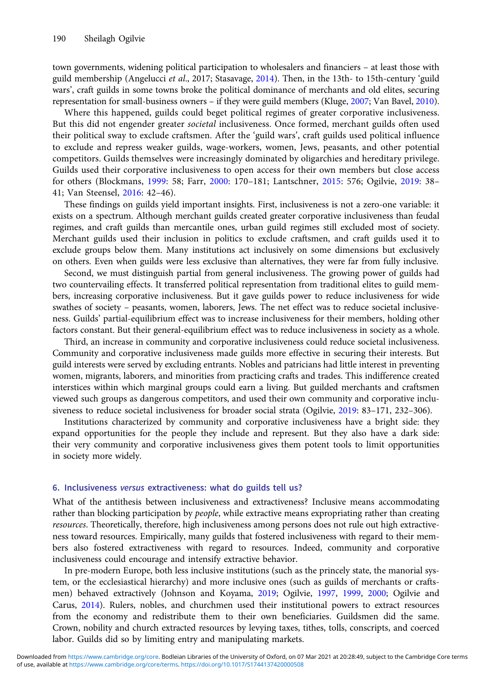town governments, widening political participation to wholesalers and financiers – at least those with guild membership (Angelucci et al., 2017; Stasavage, [2014](#page-15-0)). Then, in the 13th- to 15th-century 'guild wars', craft guilds in some towns broke the political dominance of merchants and old elites, securing representation for small-business owners – if they were guild members (Kluge, [2007](#page-13-0); Van Bavel, [2010](#page-15-0)).

Where this happened, guilds could beget political regimes of greater corporative inclusiveness. But this did not engender greater *societal* inclusiveness. Once formed, merchant guilds often used their political sway to exclude craftsmen. After the 'guild wars', craft guilds used political influence to exclude and repress weaker guilds, wage-workers, women, Jews, peasants, and other potential competitors. Guilds themselves were increasingly dominated by oligarchies and hereditary privilege. Guilds used their corporative inclusiveness to open access for their own members but close access for others (Blockmans, [1999](#page-13-0): 58; Farr, [2000](#page-13-0): 170–181; Lantschner, [2015:](#page-14-0) 576; Ogilvie, [2019](#page-14-0): 38– 41; Van Steensel, [2016:](#page-15-0) 42–46).

These findings on guilds yield important insights. First, inclusiveness is not a zero-one variable: it exists on a spectrum. Although merchant guilds created greater corporative inclusiveness than feudal regimes, and craft guilds than mercantile ones, urban guild regimes still excluded most of society. Merchant guilds used their inclusion in politics to exclude craftsmen, and craft guilds used it to exclude groups below them. Many institutions act inclusively on some dimensions but exclusively on others. Even when guilds were less exclusive than alternatives, they were far from fully inclusive.

Second, we must distinguish partial from general inclusiveness. The growing power of guilds had two countervailing effects. It transferred political representation from traditional elites to guild members, increasing corporative inclusiveness. But it gave guilds power to reduce inclusiveness for wide swathes of society – peasants, women, laborers, Jews. The net effect was to reduce societal inclusiveness. Guilds' partial-equilibrium effect was to increase inclusiveness for their members, holding other factors constant. But their general-equilibrium effect was to reduce inclusiveness in society as a whole.

Third, an increase in community and corporative inclusiveness could reduce societal inclusiveness. Community and corporative inclusiveness made guilds more effective in securing their interests. But guild interests were served by excluding entrants. Nobles and patricians had little interest in preventing women, migrants, laborers, and minorities from practicing crafts and trades. This indifference created interstices within which marginal groups could earn a living. But guilded merchants and craftsmen viewed such groups as dangerous competitors, and used their own community and corporative inclusiveness to reduce societal inclusiveness for broader social strata (Ogilvie, [2019:](#page-14-0) 83–171, 232–306).

Institutions characterized by community and corporative inclusiveness have a bright side: they expand opportunities for the people they include and represent. But they also have a dark side: their very community and corporative inclusiveness gives them potent tools to limit opportunities in society more widely.

### 6. Inclusiveness versus extractiveness: what do guilds tell us?

What of the antithesis between inclusiveness and extractiveness? Inclusive means accommodating rather than blocking participation by people, while extractive means expropriating rather than creating resources. Theoretically, therefore, high inclusiveness among persons does not rule out high extractiveness toward resources. Empirically, many guilds that fostered inclusiveness with regard to their members also fostered extractiveness with regard to resources. Indeed, community and corporative inclusiveness could encourage and intensify extractive behavior.

In pre-modern Europe, both less inclusive institutions (such as the princely state, the manorial system, or the ecclesiastical hierarchy) and more inclusive ones (such as guilds of merchants or craftsmen) behaved extractively (Johnson and Koyama, [2019](#page-13-0); Ogilvie, [1997](#page-14-0), [1999](#page-14-0), [2000;](#page-14-0) Ogilvie and Carus, [2014](#page-14-0)). Rulers, nobles, and churchmen used their institutional powers to extract resources from the economy and redistribute them to their own beneficiaries. Guildsmen did the same. Crown, nobility and church extracted resources by levying taxes, tithes, tolls, conscripts, and coerced labor. Guilds did so by limiting entry and manipulating markets.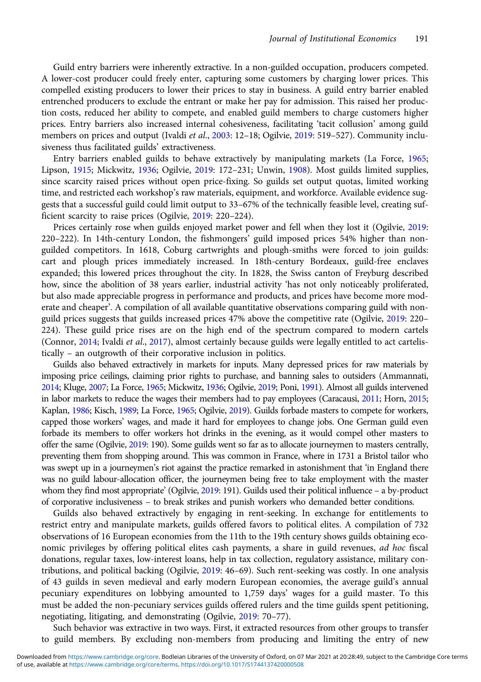Guild entry barriers were inherently extractive. In a non-guilded occupation, producers competed. A lower-cost producer could freely enter, capturing some customers by charging lower prices. This compelled existing producers to lower their prices to stay in business. A guild entry barrier enabled entrenched producers to exclude the entrant or make her pay for admission. This raised her production costs, reduced her ability to compete, and enabled guild members to charge customers higher prices. Entry barriers also increased internal cohesiveness, facilitating 'tacit collusion' among guild members on prices and output (Ivaldi et al., [2003](#page-13-0): 12-18; Ogilvie, [2019:](#page-14-0) 519-527). Community inclusiveness thus facilitated guilds' extractiveness.

Entry barriers enabled guilds to behave extractively by manipulating markets (La Force, [1965](#page-14-0); Lipson, [1915;](#page-14-0) Mickwitz, [1936](#page-14-0); Ogilvie, [2019:](#page-14-0) 172–231; Unwin, [1908\)](#page-15-0). Most guilds limited supplies, since scarcity raised prices without open price-fixing. So guilds set output quotas, limited working time, and restricted each workshop's raw materials, equipment, and workforce. Available evidence suggests that a successful guild could limit output to 33–67% of the technically feasible level, creating sufficient scarcity to raise prices (Ogilvie, [2019](#page-14-0): 220–224).

Prices certainly rose when guilds enjoyed market power and fell when they lost it (Ogilvie, [2019](#page-14-0): 220–222). In 14th-century London, the fishmongers' guild imposed prices 54% higher than nonguilded competitors. In 1618, Coburg cartwrights and plough-smiths were forced to join guilds: cart and plough prices immediately increased. In 18th-century Bordeaux, guild-free enclaves expanded; this lowered prices throughout the city. In 1828, the Swiss canton of Freyburg described how, since the abolition of 38 years earlier, industrial activity 'has not only noticeably proliferated, but also made appreciable progress in performance and products, and prices have become more moderate and cheaper'. A compilation of all available quantitative observations comparing guild with nonguild prices suggests that guilds increased prices 47% above the competitive rate (Ogilvie, [2019](#page-14-0): 220– 224). These guild price rises are on the high end of the spectrum compared to modern cartels (Connor, [2014;](#page-13-0) Ivaldi et al., [2017\)](#page-13-0), almost certainly because guilds were legally entitled to act cartelistically – an outgrowth of their corporative inclusion in politics.

Guilds also behaved extractively in markets for inputs. Many depressed prices for raw materials by imposing price ceilings, claiming prior rights to purchase, and banning sales to outsiders (Ammannati, [2014](#page-13-0); Kluge, [2007](#page-13-0); La Force, [1965;](#page-14-0) Mickwitz, [1936](#page-14-0); Ogilvie, [2019;](#page-14-0) Poni, [1991\)](#page-14-0). Almost all guilds intervened in labor markets to reduce the wages their members had to pay employees (Caracausi, [2011](#page-13-0); Horn, [2015](#page-13-0); Kaplan, [1986;](#page-13-0) Kisch, [1989](#page-13-0); La Force, [1965](#page-14-0); Ogilvie, [2019\)](#page-14-0). Guilds forbade masters to compete for workers, capped those workers' wages, and made it hard for employees to change jobs. One German guild even forbade its members to offer workers hot drinks in the evening, as it would compel other masters to offer the same (Ogilvie, [2019](#page-14-0): 190). Some guilds went so far as to allocate journeymen to masters centrally, preventing them from shopping around. This was common in France, where in 1731 a Bristol tailor who was swept up in a journeymen's riot against the practice remarked in astonishment that 'in England there was no guild labour-allocation officer, the journeymen being free to take employment with the master whom they find most appropriate' (Ogilvie, [2019](#page-14-0): 191). Guilds used their political influence – a by-product of corporative inclusiveness – to break strikes and punish workers who demanded better conditions.

Guilds also behaved extractively by engaging in rent-seeking. In exchange for entitlements to restrict entry and manipulate markets, guilds offered favors to political elites. A compilation of 732 observations of 16 European economies from the 11th to the 19th century shows guilds obtaining economic privileges by offering political elites cash payments, a share in guild revenues, *ad hoc* fiscal donations, regular taxes, low-interest loans, help in tax collection, regulatory assistance, military contributions, and political backing (Ogilvie, [2019:](#page-14-0) 46–69). Such rent-seeking was costly. In one analysis of 43 guilds in seven medieval and early modern European economies, the average guild's annual pecuniary expenditures on lobbying amounted to 1,759 days' wages for a guild master. To this must be added the non-pecuniary services guilds offered rulers and the time guilds spent petitioning, negotiating, litigating, and demonstrating (Ogilvie, [2019:](#page-14-0) 70–77).

Such behavior was extractive in two ways. First, it extracted resources from other groups to transfer to guild members. By excluding non-members from producing and limiting the entry of new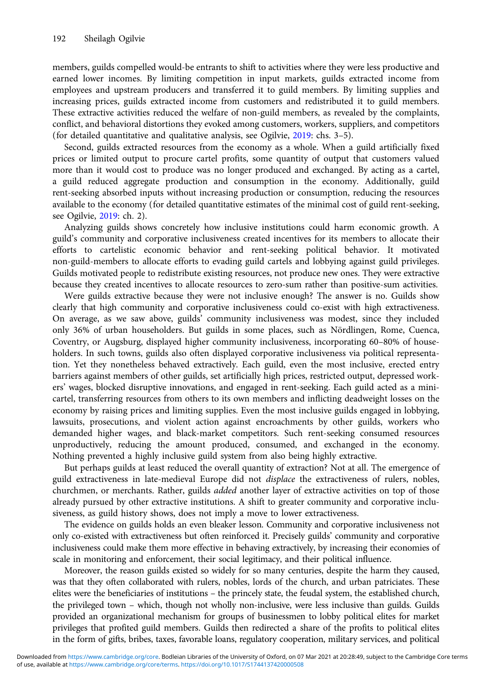members, guilds compelled would-be entrants to shift to activities where they were less productive and earned lower incomes. By limiting competition in input markets, guilds extracted income from employees and upstream producers and transferred it to guild members. By limiting supplies and increasing prices, guilds extracted income from customers and redistributed it to guild members. These extractive activities reduced the welfare of non-guild members, as revealed by the complaints, conflict, and behavioral distortions they evoked among customers, workers, suppliers, and competitors (for detailed quantitative and qualitative analysis, see Ogilvie, [2019](#page-14-0): chs. 3–5).

Second, guilds extracted resources from the economy as a whole. When a guild artificially fixed prices or limited output to procure cartel profits, some quantity of output that customers valued more than it would cost to produce was no longer produced and exchanged. By acting as a cartel, a guild reduced aggregate production and consumption in the economy. Additionally, guild rent-seeking absorbed inputs without increasing production or consumption, reducing the resources available to the economy (for detailed quantitative estimates of the minimal cost of guild rent-seeking, see Ogilvie, [2019:](#page-14-0) ch. 2).

Analyzing guilds shows concretely how inclusive institutions could harm economic growth. A guild's community and corporative inclusiveness created incentives for its members to allocate their efforts to cartelistic economic behavior and rent-seeking political behavior. It motivated non-guild-members to allocate efforts to evading guild cartels and lobbying against guild privileges. Guilds motivated people to redistribute existing resources, not produce new ones. They were extractive because they created incentives to allocate resources to zero-sum rather than positive-sum activities.

Were guilds extractive because they were not inclusive enough? The answer is no. Guilds show clearly that high community and corporative inclusiveness could co-exist with high extractiveness. On average, as we saw above, guilds' community inclusiveness was modest, since they included only 36% of urban householders. But guilds in some places, such as Nördlingen, Rome, Cuenca, Coventry, or Augsburg, displayed higher community inclusiveness, incorporating 60–80% of householders. In such towns, guilds also often displayed corporative inclusiveness via political representation. Yet they nonetheless behaved extractively. Each guild, even the most inclusive, erected entry barriers against members of other guilds, set artificially high prices, restricted output, depressed workers' wages, blocked disruptive innovations, and engaged in rent-seeking. Each guild acted as a minicartel, transferring resources from others to its own members and inflicting deadweight losses on the economy by raising prices and limiting supplies. Even the most inclusive guilds engaged in lobbying, lawsuits, prosecutions, and violent action against encroachments by other guilds, workers who demanded higher wages, and black-market competitors. Such rent-seeking consumed resources unproductively, reducing the amount produced, consumed, and exchanged in the economy. Nothing prevented a highly inclusive guild system from also being highly extractive.

But perhaps guilds at least reduced the overall quantity of extraction? Not at all. The emergence of guild extractiveness in late-medieval Europe did not *displace* the extractiveness of rulers, nobles, churchmen, or merchants. Rather, guilds *added* another layer of extractive activities on top of those already pursued by other extractive institutions. A shift to greater community and corporative inclusiveness, as guild history shows, does not imply a move to lower extractiveness.

The evidence on guilds holds an even bleaker lesson. Community and corporative inclusiveness not only co-existed with extractiveness but often reinforced it. Precisely guilds' community and corporative inclusiveness could make them more effective in behaving extractively, by increasing their economies of scale in monitoring and enforcement, their social legitimacy, and their political influence.

Moreover, the reason guilds existed so widely for so many centuries, despite the harm they caused, was that they often collaborated with rulers, nobles, lords of the church, and urban patriciates. These elites were the beneficiaries of institutions – the princely state, the feudal system, the established church, the privileged town – which, though not wholly non-inclusive, were less inclusive than guilds. Guilds provided an organizational mechanism for groups of businessmen to lobby political elites for market privileges that profited guild members. Guilds then redirected a share of the profits to political elites in the form of gifts, bribes, taxes, favorable loans, regulatory cooperation, military services, and political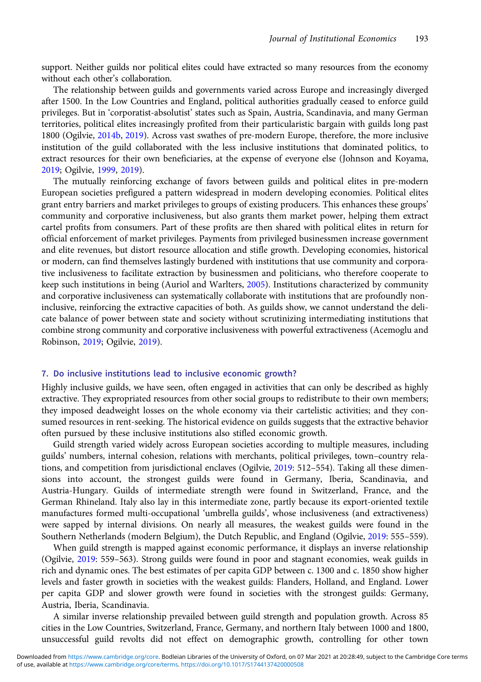support. Neither guilds nor political elites could have extracted so many resources from the economy without each other's collaboration.

The relationship between guilds and governments varied across Europe and increasingly diverged after 1500. In the Low Countries and England, political authorities gradually ceased to enforce guild privileges. But in 'corporatist-absolutist' states such as Spain, Austria, Scandinavia, and many German territories, political elites increasingly profited from their particularistic bargain with guilds long past 1800 (Ogilvie, [2014b,](#page-14-0) [2019](#page-14-0)). Across vast swathes of pre-modern Europe, therefore, the more inclusive institution of the guild collaborated with the less inclusive institutions that dominated politics, to extract resources for their own beneficiaries, at the expense of everyone else (Johnson and Koyama, [2019](#page-13-0); Ogilvie, [1999](#page-14-0), [2019\)](#page-14-0).

The mutually reinforcing exchange of favors between guilds and political elites in pre-modern European societies prefigured a pattern widespread in modern developing economies. Political elites grant entry barriers and market privileges to groups of existing producers. This enhances these groups' community and corporative inclusiveness, but also grants them market power, helping them extract cartel profits from consumers. Part of these profits are then shared with political elites in return for official enforcement of market privileges. Payments from privileged businessmen increase government and elite revenues, but distort resource allocation and stifle growth. Developing economies, historical or modern, can find themselves lastingly burdened with institutions that use community and corporative inclusiveness to facilitate extraction by businessmen and politicians, who therefore cooperate to keep such institutions in being (Auriol and Warlters, [2005\)](#page-13-0). Institutions characterized by community and corporative inclusiveness can systematically collaborate with institutions that are profoundly noninclusive, reinforcing the extractive capacities of both. As guilds show, we cannot understand the delicate balance of power between state and society without scrutinizing intermediating institutions that combine strong community and corporative inclusiveness with powerful extractiveness (Acemoglu and Robinson, [2019;](#page-13-0) Ogilvie, [2019\)](#page-14-0).

## 7. Do inclusive institutions lead to inclusive economic growth?

Highly inclusive guilds, we have seen, often engaged in activities that can only be described as highly extractive. They expropriated resources from other social groups to redistribute to their own members; they imposed deadweight losses on the whole economy via their cartelistic activities; and they consumed resources in rent-seeking. The historical evidence on guilds suggests that the extractive behavior often pursued by these inclusive institutions also stifled economic growth.

Guild strength varied widely across European societies according to multiple measures, including guilds' numbers, internal cohesion, relations with merchants, political privileges, town–country rela-tions, and competition from jurisdictional enclaves (Ogilvie, [2019:](#page-14-0) 512-554). Taking all these dimensions into account, the strongest guilds were found in Germany, Iberia, Scandinavia, and Austria-Hungary. Guilds of intermediate strength were found in Switzerland, France, and the German Rhineland. Italy also lay in this intermediate zone, partly because its export-oriented textile manufactures formed multi-occupational 'umbrella guilds', whose inclusiveness (and extractiveness) were sapped by internal divisions. On nearly all measures, the weakest guilds were found in the Southern Netherlands (modern Belgium), the Dutch Republic, and England (Ogilvie, [2019:](#page-14-0) 555-559).

When guild strength is mapped against economic performance, it displays an inverse relationship (Ogilvie, [2019:](#page-14-0) 559–563). Strong guilds were found in poor and stagnant economies, weak guilds in rich and dynamic ones. The best estimates of per capita GDP between c. 1300 and c. 1850 show higher levels and faster growth in societies with the weakest guilds: Flanders, Holland, and England. Lower per capita GDP and slower growth were found in societies with the strongest guilds: Germany, Austria, Iberia, Scandinavia.

A similar inverse relationship prevailed between guild strength and population growth. Across 85 cities in the Low Countries, Switzerland, France, Germany, and northern Italy between 1000 and 1800, unsuccessful guild revolts did not effect on demographic growth, controlling for other town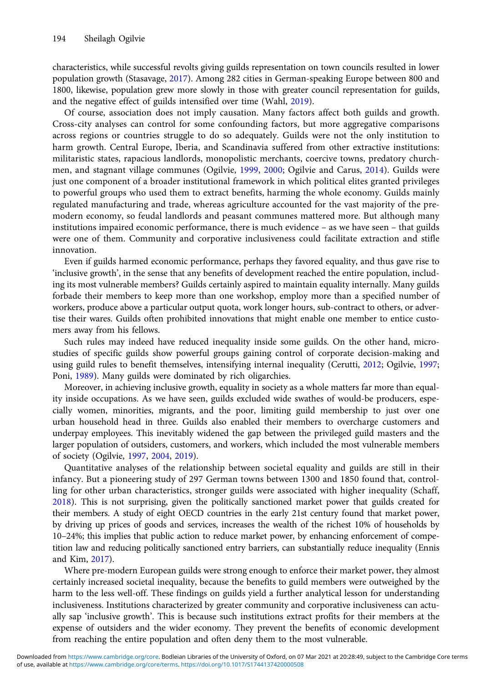characteristics, while successful revolts giving guilds representation on town councils resulted in lower population growth (Stasavage, [2017](#page-15-0)). Among 282 cities in German-speaking Europe between 800 and 1800, likewise, population grew more slowly in those with greater council representation for guilds, and the negative effect of guilds intensified over time (Wahl, [2019\)](#page-15-0).

Of course, association does not imply causation. Many factors affect both guilds and growth. Cross-city analyses can control for some confounding factors, but more aggregative comparisons across regions or countries struggle to do so adequately. Guilds were not the only institution to harm growth. Central Europe, Iberia, and Scandinavia suffered from other extractive institutions: militaristic states, rapacious landlords, monopolistic merchants, coercive towns, predatory churchmen, and stagnant village communes (Ogilvie, [1999,](#page-14-0) [2000;](#page-14-0) Ogilvie and Carus, [2014\)](#page-14-0). Guilds were just one component of a broader institutional framework in which political elites granted privileges to powerful groups who used them to extract benefits, harming the whole economy. Guilds mainly regulated manufacturing and trade, whereas agriculture accounted for the vast majority of the premodern economy, so feudal landlords and peasant communes mattered more. But although many institutions impaired economic performance, there is much evidence – as we have seen – that guilds were one of them. Community and corporative inclusiveness could facilitate extraction and stifle innovation.

Even if guilds harmed economic performance, perhaps they favored equality, and thus gave rise to 'inclusive growth', in the sense that any benefits of development reached the entire population, including its most vulnerable members? Guilds certainly aspired to maintain equality internally. Many guilds forbade their members to keep more than one workshop, employ more than a specified number of workers, produce above a particular output quota, work longer hours, sub-contract to others, or advertise their wares. Guilds often prohibited innovations that might enable one member to entice customers away from his fellows.

Such rules may indeed have reduced inequality inside some guilds. On the other hand, microstudies of specific guilds show powerful groups gaining control of corporate decision-making and using guild rules to benefit themselves, intensifying internal inequality (Cerutti, [2012](#page-13-0); Ogilvie, [1997;](#page-14-0) Poni, [1989\)](#page-14-0). Many guilds were dominated by rich oligarchies.

Moreover, in achieving inclusive growth, equality in society as a whole matters far more than equality inside occupations. As we have seen, guilds excluded wide swathes of would-be producers, especially women, minorities, migrants, and the poor, limiting guild membership to just over one urban household head in three. Guilds also enabled their members to overcharge customers and underpay employees. This inevitably widened the gap between the privileged guild masters and the larger population of outsiders, customers, and workers, which included the most vulnerable members of society (Ogilvie, [1997,](#page-14-0) [2004,](#page-14-0) [2019](#page-14-0)).

Quantitative analyses of the relationship between societal equality and guilds are still in their infancy. But a pioneering study of 297 German towns between 1300 and 1850 found that, controlling for other urban characteristics, stronger guilds were associated with higher inequality (Schaff, [2018\)](#page-15-0). This is not surprising, given the politically sanctioned market power that guilds created for their members. A study of eight OECD countries in the early 21st century found that market power, by driving up prices of goods and services, increases the wealth of the richest 10% of households by 10–24%; this implies that public action to reduce market power, by enhancing enforcement of competition law and reducing politically sanctioned entry barriers, can substantially reduce inequality (Ennis and Kim, [2017\)](#page-13-0).

Where pre-modern European guilds were strong enough to enforce their market power, they almost certainly increased societal inequality, because the benefits to guild members were outweighed by the harm to the less well-off. These findings on guilds yield a further analytical lesson for understanding inclusiveness. Institutions characterized by greater community and corporative inclusiveness can actually sap 'inclusive growth'. This is because such institutions extract profits for their members at the expense of outsiders and the wider economy. They prevent the benefits of economic development from reaching the entire population and often deny them to the most vulnerable.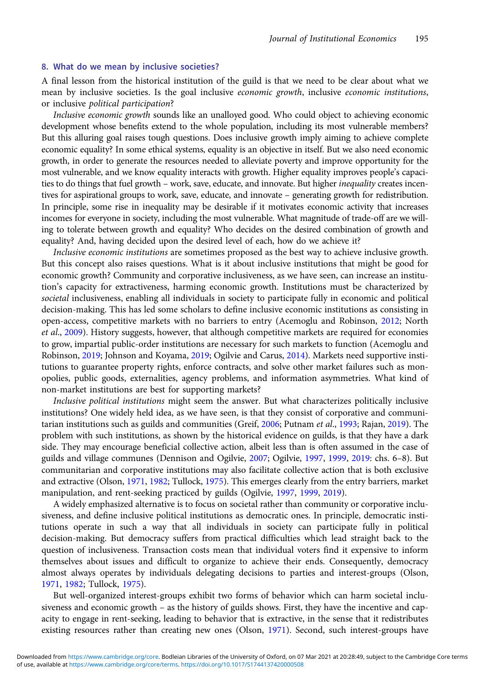### 8. What do we mean by inclusive societies?

A final lesson from the historical institution of the guild is that we need to be clear about what we mean by inclusive societies. Is the goal inclusive *economic growth*, inclusive *economic institutions*, or inclusive political participation?

Inclusive economic growth sounds like an unalloyed good. Who could object to achieving economic development whose benefits extend to the whole population, including its most vulnerable members? But this alluring goal raises tough questions. Does inclusive growth imply aiming to achieve complete economic equality? In some ethical systems, equality is an objective in itself. But we also need economic growth, in order to generate the resources needed to alleviate poverty and improve opportunity for the most vulnerable, and we know equality interacts with growth. Higher equality improves people's capacities to do things that fuel growth – work, save, educate, and innovate. But higher *inequality* creates incentives for aspirational groups to work, save, educate, and innovate – generating growth for redistribution. In principle, some rise in inequality may be desirable if it motivates economic activity that increases incomes for everyone in society, including the most vulnerable. What magnitude of trade-off are we willing to tolerate between growth and equality? Who decides on the desired combination of growth and equality? And, having decided upon the desired level of each, how do we achieve it?

Inclusive economic institutions are sometimes proposed as the best way to achieve inclusive growth. But this concept also raises questions. What is it about inclusive institutions that might be good for economic growth? Community and corporative inclusiveness, as we have seen, can increase an institution's capacity for extractiveness, harming economic growth. Institutions must be characterized by societal inclusiveness, enabling all individuals in society to participate fully in economic and political decision-making. This has led some scholars to define inclusive economic institutions as consisting in open-access, competitive markets with no barriers to entry (Acemoglu and Robinson, [2012;](#page-13-0) North et al., [2009\)](#page-14-0). History suggests, however, that although competitive markets are required for economies to grow, impartial public-order institutions are necessary for such markets to function (Acemoglu and Robinson, [2019;](#page-13-0) Johnson and Koyama, [2019;](#page-13-0) Ogilvie and Carus, [2014\)](#page-14-0). Markets need supportive institutions to guarantee property rights, enforce contracts, and solve other market failures such as monopolies, public goods, externalities, agency problems, and information asymmetries. What kind of non-market institutions are best for supporting markets?

Inclusive political institutions might seem the answer. But what characterizes politically inclusive institutions? One widely held idea, as we have seen, is that they consist of corporative and communi-tarian institutions such as guilds and communities (Greif, [2006;](#page-13-0) Putnam et al., [1993](#page-14-0); Rajan, [2019](#page-14-0)). The problem with such institutions, as shown by the historical evidence on guilds, is that they have a dark side. They may encourage beneficial collective action, albeit less than is often assumed in the case of guilds and village communes (Dennison and Ogilvie, [2007](#page-13-0); Ogilvie, [1997](#page-14-0), [1999](#page-14-0), [2019](#page-14-0): chs. 6–8). But communitarian and corporative institutions may also facilitate collective action that is both exclusive and extractive (Olson, [1971,](#page-14-0) [1982;](#page-14-0) Tullock, [1975](#page-15-0)). This emerges clearly from the entry barriers, market manipulation, and rent-seeking practiced by guilds (Ogilvie, [1997](#page-14-0), [1999](#page-14-0), [2019](#page-14-0)).

A widely emphasized alternative is to focus on societal rather than community or corporative inclusiveness, and define inclusive political institutions as democratic ones. In principle, democratic institutions operate in such a way that all individuals in society can participate fully in political decision-making. But democracy suffers from practical difficulties which lead straight back to the question of inclusiveness. Transaction costs mean that individual voters find it expensive to inform themselves about issues and difficult to organize to achieve their ends. Consequently, democracy almost always operates by individuals delegating decisions to parties and interest-groups (Olson, [1971](#page-14-0), [1982](#page-14-0); Tullock, [1975](#page-15-0)).

But well-organized interest-groups exhibit two forms of behavior which can harm societal inclusiveness and economic growth – as the history of guilds shows. First, they have the incentive and capacity to engage in rent-seeking, leading to behavior that is extractive, in the sense that it redistributes existing resources rather than creating new ones (Olson, [1971\)](#page-14-0). Second, such interest-groups have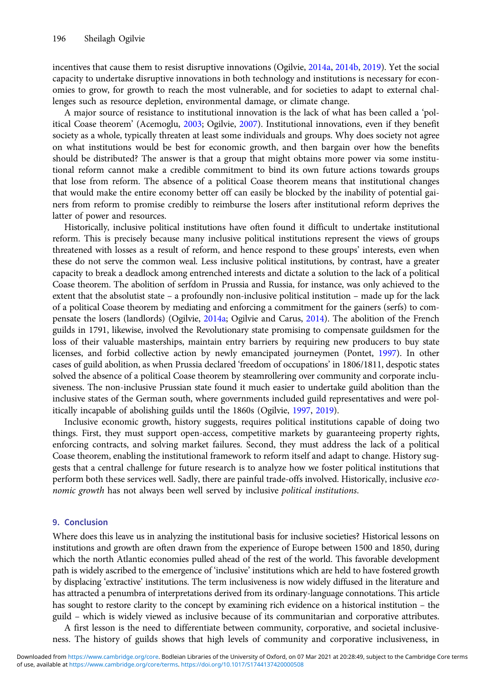incentives that cause them to resist disruptive innovations (Ogilvie, [2014a](#page-14-0), [2014b](#page-14-0), [2019\)](#page-14-0). Yet the social capacity to undertake disruptive innovations in both technology and institutions is necessary for economies to grow, for growth to reach the most vulnerable, and for societies to adapt to external challenges such as resource depletion, environmental damage, or climate change.

A major source of resistance to institutional innovation is the lack of what has been called a 'political Coase theorem' (Acemoglu, [2003;](#page-12-0) Ogilvie, [2007](#page-14-0)). Institutional innovations, even if they benefit society as a whole, typically threaten at least some individuals and groups. Why does society not agree on what institutions would be best for economic growth, and then bargain over how the benefits should be distributed? The answer is that a group that might obtains more power via some institutional reform cannot make a credible commitment to bind its own future actions towards groups that lose from reform. The absence of a political Coase theorem means that institutional changes that would make the entire economy better off can easily be blocked by the inability of potential gainers from reform to promise credibly to reimburse the losers after institutional reform deprives the latter of power and resources.

Historically, inclusive political institutions have often found it difficult to undertake institutional reform. This is precisely because many inclusive political institutions represent the views of groups threatened with losses as a result of reform, and hence respond to these groups' interests, even when these do not serve the common weal. Less inclusive political institutions, by contrast, have a greater capacity to break a deadlock among entrenched interests and dictate a solution to the lack of a political Coase theorem. The abolition of serfdom in Prussia and Russia, for instance, was only achieved to the extent that the absolutist state – a profoundly non-inclusive political institution – made up for the lack of a political Coase theorem by mediating and enforcing a commitment for the gainers (serfs) to compensate the losers (landlords) (Ogilvie, [2014a;](#page-14-0) Ogilvie and Carus, [2014\)](#page-14-0). The abolition of the French guilds in 1791, likewise, involved the Revolutionary state promising to compensate guildsmen for the loss of their valuable masterships, maintain entry barriers by requiring new producers to buy state licenses, and forbid collective action by newly emancipated journeymen (Pontet, [1997\)](#page-14-0). In other cases of guild abolition, as when Prussia declared 'freedom of occupations' in 1806/1811, despotic states solved the absence of a political Coase theorem by steamrollering over community and corporate inclusiveness. The non-inclusive Prussian state found it much easier to undertake guild abolition than the inclusive states of the German south, where governments included guild representatives and were politically incapable of abolishing guilds until the 1860s (Ogilvie, [1997,](#page-14-0) [2019](#page-14-0)).

Inclusive economic growth, history suggests, requires political institutions capable of doing two things. First, they must support open-access, competitive markets by guaranteeing property rights, enforcing contracts, and solving market failures. Second, they must address the lack of a political Coase theorem, enabling the institutional framework to reform itself and adapt to change. History suggests that a central challenge for future research is to analyze how we foster political institutions that perform both these services well. Sadly, there are painful trade-offs involved. Historically, inclusive economic growth has not always been well served by inclusive political institutions.

## 9. Conclusion

Where does this leave us in analyzing the institutional basis for inclusive societies? Historical lessons on institutions and growth are often drawn from the experience of Europe between 1500 and 1850, during which the north Atlantic economies pulled ahead of the rest of the world. This favorable development path is widely ascribed to the emergence of 'inclusive' institutions which are held to have fostered growth by displacing 'extractive' institutions. The term inclusiveness is now widely diffused in the literature and has attracted a penumbra of interpretations derived from its ordinary-language connotations. This article has sought to restore clarity to the concept by examining rich evidence on a historical institution – the guild – which is widely viewed as inclusive because of its communitarian and corporative attributes.

A first lesson is the need to differentiate between community, corporative, and societal inclusiveness. The history of guilds shows that high levels of community and corporative inclusiveness, in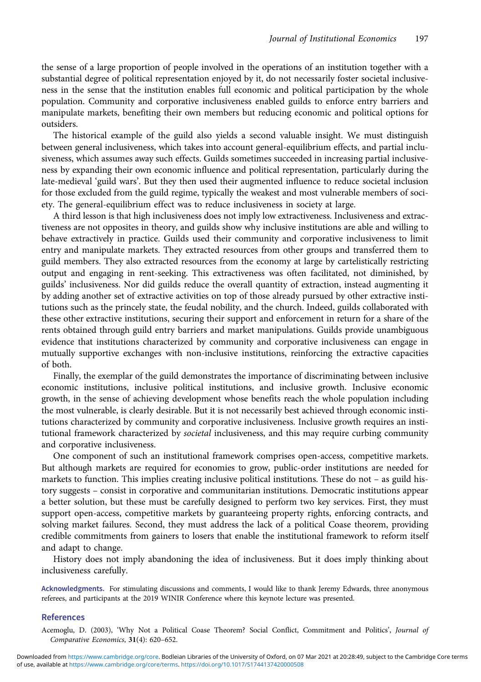<span id="page-12-0"></span>the sense of a large proportion of people involved in the operations of an institution together with a substantial degree of political representation enjoyed by it, do not necessarily foster societal inclusiveness in the sense that the institution enables full economic and political participation by the whole population. Community and corporative inclusiveness enabled guilds to enforce entry barriers and manipulate markets, benefiting their own members but reducing economic and political options for outsiders.

The historical example of the guild also yields a second valuable insight. We must distinguish between general inclusiveness, which takes into account general-equilibrium effects, and partial inclusiveness, which assumes away such effects. Guilds sometimes succeeded in increasing partial inclusiveness by expanding their own economic influence and political representation, particularly during the late-medieval 'guild wars'. But they then used their augmented influence to reduce societal inclusion for those excluded from the guild regime, typically the weakest and most vulnerable members of society. The general-equilibrium effect was to reduce inclusiveness in society at large.

A third lesson is that high inclusiveness does not imply low extractiveness. Inclusiveness and extractiveness are not opposites in theory, and guilds show why inclusive institutions are able and willing to behave extractively in practice. Guilds used their community and corporative inclusiveness to limit entry and manipulate markets. They extracted resources from other groups and transferred them to guild members. They also extracted resources from the economy at large by cartelistically restricting output and engaging in rent-seeking. This extractiveness was often facilitated, not diminished, by guilds' inclusiveness. Nor did guilds reduce the overall quantity of extraction, instead augmenting it by adding another set of extractive activities on top of those already pursued by other extractive institutions such as the princely state, the feudal nobility, and the church. Indeed, guilds collaborated with these other extractive institutions, securing their support and enforcement in return for a share of the rents obtained through guild entry barriers and market manipulations. Guilds provide unambiguous evidence that institutions characterized by community and corporative inclusiveness can engage in mutually supportive exchanges with non-inclusive institutions, reinforcing the extractive capacities of both.

Finally, the exemplar of the guild demonstrates the importance of discriminating between inclusive economic institutions, inclusive political institutions, and inclusive growth. Inclusive economic growth, in the sense of achieving development whose benefits reach the whole population including the most vulnerable, is clearly desirable. But it is not necessarily best achieved through economic institutions characterized by community and corporative inclusiveness. Inclusive growth requires an institutional framework characterized by *societal* inclusiveness, and this may require curbing community and corporative inclusiveness.

One component of such an institutional framework comprises open-access, competitive markets. But although markets are required for economies to grow, public-order institutions are needed for markets to function. This implies creating inclusive political institutions. These do not – as guild history suggests – consist in corporative and communitarian institutions. Democratic institutions appear a better solution, but these must be carefully designed to perform two key services. First, they must support open-access, competitive markets by guaranteeing property rights, enforcing contracts, and solving market failures. Second, they must address the lack of a political Coase theorem, providing credible commitments from gainers to losers that enable the institutional framework to reform itself and adapt to change.

History does not imply abandoning the idea of inclusiveness. But it does imply thinking about inclusiveness carefully.

Acknowledgments. For stimulating discussions and comments, I would like to thank Jeremy Edwards, three anonymous referees, and participants at the 2019 WINIR Conference where this keynote lecture was presented.

#### References

Acemoglu, D. (2003), 'Why Not a Political Coase Theorem? Social Conflict, Commitment and Politics', Journal of Comparative Economics, 31(4): 620–652.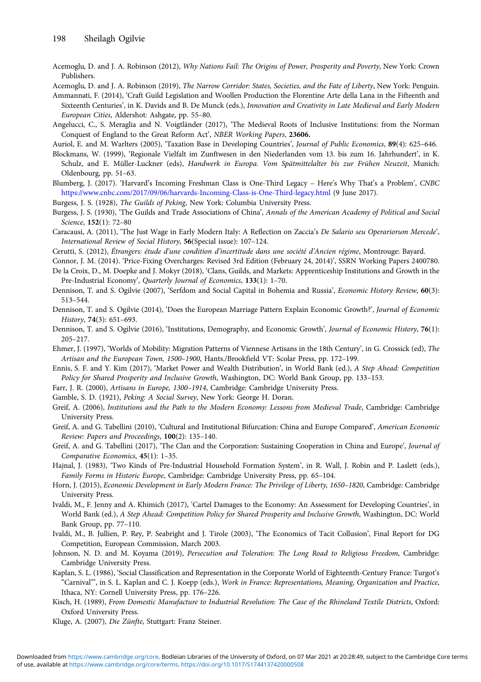<span id="page-13-0"></span>Acemoglu, D. and J. A. Robinson (2012), Why Nations Fail: The Origins of Power, Prosperity and Poverty, New York: Crown Publishers.

Acemoglu, D. and J. A. Robinson (2019), The Narrow Corridor: States, Societies, and the Fate of Liberty, New York: Penguin.

Ammannati, F. (2014), 'Craft Guild Legislation and Woollen Production the Florentine Arte della Lana in the Fifteenth and Sixteenth Centuries', in K. Davids and B. De Munck (eds.), Innovation and Creativity in Late Medieval and Early Modern European Cities, Aldershot: Ashgate, pp. 55–80.

Angelucci, C., S. Meraglia and N. Voigtländer (2017), 'The Medieval Roots of Inclusive Institutions: from the Norman Conquest of England to the Great Reform Act', NBER Working Papers, 23606.

Auriol, E. and M. Warlters (2005), 'Taxation Base in Developing Countries', Journal of Public Economics, 89(4): 625-646.

- Blockmans, W. (1999), 'Regionale Vielfalt im Zunftwesen in den Niederlanden vom 13. bis zum 16. Jahrhundert', in K. Schulz, and E. Müller-Luckner (eds), Handwerk in Europa. Vom Spätmittelalter bis zur Frühen Neuzeit, Munich: Oldenbourg, pp. 51–63.
- Blumberg, J. (2017). 'Harvard's Incoming Freshman Class is One-Third Legacy Here's Why That's a Problem', CNBC <https://www.cnbc.com/2017/09/06/harvards-Incoming-Class-is-One-Third-legacy.html> (9 June 2017).
- Burgess, J. S. (1928), The Guilds of Peking, New York: Columbia University Press.
- Burgess, J. S. (1930), 'The Guilds and Trade Associations of China', Annals of the American Academy of Political and Social Science, 152(1): 72–80
- Caracausi, A. (2011), 'The Just Wage in Early Modern Italy: A Reflection on Zaccia's De Salario seu Operariorum Mercede', International Review of Social History, 56(Special issue): 107–124.
- Cerutti, S. (2012), Étrangers: étude d'une condition d'incertitude dans une société d'Ancien régime, Montrouge: Bayard.
- Connor, J. M. (2014). 'Price-Fixing Overcharges: Revised 3rd Edition (February 24, 2014)', SSRN Working Papers 2400780.
- De la Croix, D., M. Doepke and J. Mokyr (2018), 'Clans, Guilds, and Markets: Apprenticeship Institutions and Growth in the Pre-Industrial Economy', Quarterly Journal of Economics, 133(1): 1–70.
- Dennison, T. and S. Ogilvie (2007), 'Serfdom and Social Capital in Bohemia and Russia', Economic History Review, 60(3): 513–544.
- Dennison, T. and S. Ogilvie (2014), 'Does the European Marriage Pattern Explain Economic Growth?', Journal of Economic History, 74(3): 651–693.
- Dennison, T. and S. Ogilvie (2016), 'Institutions, Demography, and Economic Growth', Journal of Economic History, 76(1): 205–217.
- Ehmer, J. (1997), 'Worlds of Mobility: Migration Patterns of Viennese Artisans in the 18th Century', in G. Crossick (ed), The Artisan and the European Town, 1500–1900, Hants./Brookfield VT: Scolar Press, pp. 172–199.
- Ennis, S. F. and Y. Kim (2017), 'Market Power and Wealth Distribution', in World Bank (ed.), A Step Ahead: Competition Policy for Shared Prosperity and Inclusive Growth, Washington, DC: World Bank Group, pp. 133–153.
- Farr, J. R. (2000), Artisans in Europe, 1300–1914, Cambridge: Cambridge University Press.
- Gamble, S. D. (1921), Peking: A Social Survey, New York: George H. Doran.
- Greif, A. (2006), Institutions and the Path to the Modern Economy: Lessons from Medieval Trade, Cambridge: Cambridge University Press.
- Greif, A. and G. Tabellini (2010), 'Cultural and Institutional Bifurcation: China and Europe Compared', American Economic Review: Papers and Proceedings, 100(2): 135–140.
- Greif, A. and G. Tabellini (2017), 'The Clan and the Corporation: Sustaining Cooperation in China and Europe', Journal of Comparative Economics, 45(1): 1–35.
- Hajnal, J. (1983), 'Two Kinds of Pre-Industrial Household Formation System', in R. Wall, J. Robin and P. Laslett (eds.), Family Forms in Historic Europe, Cambridge: Cambridge University Press, pp. 65–104.
- Horn, J. (2015), Economic Development in Early Modern France: The Privilege of Liberty, 1650–1820, Cambridge: Cambridge University Press.
- Ivaldi, M., F. Jenny and A. Khimich (2017), 'Cartel Damages to the Economy: An Assessment for Developing Countries', in World Bank (ed.), A Step Ahead: Competition Policy for Shared Prosperity and Inclusive Growth, Washington, DC: World Bank Group, pp. 77–110.
- Ivaldi, M., B. Jullien, P. Rey, P. Seabright and J. Tirole (2003), 'The Economics of Tacit Collusion', Final Report for DG Competition, European Commission, March 2003.
- Johnson, N. D. and M. Koyama (2019), Persecution and Toleration: The Long Road to Religious Freedom, Cambridge: Cambridge University Press.
- Kaplan, S. L. (1986), 'Social Classification and Representation in the Corporate World of Eighteenth-Century France: Turgot's "Carnival"', in S. L. Kaplan and C. J. Koepp (eds.), Work in France: Representations, Meaning, Organization and Practice, Ithaca, NY: Cornell University Press, pp. 176–226.
- Kisch, H. (1989), From Domestic Manufacture to Industrial Revolution: The Case of the Rhineland Textile Districts, Oxford: Oxford University Press.
- Kluge, A. (2007), Die Zünfte, Stuttgart: Franz Steiner.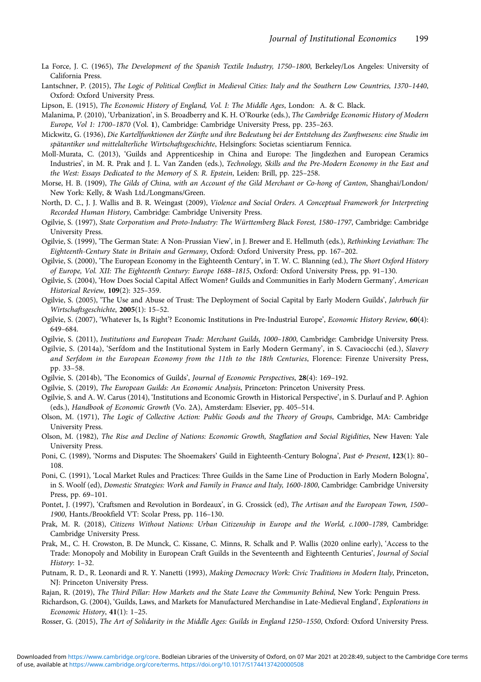- <span id="page-14-0"></span>La Force, J. C. (1965), The Development of the Spanish Textile Industry, 1750–1800, Berkeley/Los Angeles: University of California Press.
- Lantschner, P. (2015), The Logic of Political Conflict in Medieval Cities: Italy and the Southern Low Countries, 1370–1440, Oxford: Oxford University Press.
- Lipson, E. (1915), The Economic History of England, Vol. I: The Middle Ages, London: A. & C. Black.
- Malanima, P. (2010), 'Urbanization', in S. Broadberry and K. H. O'Rourke (eds.), The Cambridge Economic History of Modern Europe, Vol 1: 1700–1870 (Vol. 1), Cambridge: Cambridge University Press, pp. 235–263.
- Mickwitz, G. (1936), Die Kartellfunktionen der Zünfte und ihre Bedeutung bei der Entstehung des Zunftwesens: eine Studie im spätantiker und mittelalterliche Wirtschaftsgeschichte, Helsingfors: Societas scientiarum Fennica.
- Moll-Murata, C. (2013), 'Guilds and Apprenticeship in China and Europe: The Jingdezhen and European Ceramics Industries', in M. R. Prak and J. L. Van Zanden (eds.), Technology, Skills and the Pre-Modern Economy in the East and the West: Essays Dedicated to the Memory of S. R. Epstein, Leiden: Brill, pp. 225–258.
- Morse, H. B. (1909), The Gilds of China, with an Account of the Gild Merchant or Co-hong of Canton, Shanghai/London/ New York: Kelly, & Wash Ltd./Longmans/Green.
- North, D. C., J. J. Wallis and B. R. Weingast (2009), Violence and Social Orders. A Conceptual Framework for Interpreting Recorded Human History, Cambridge: Cambridge University Press.
- Ogilvie, S. (1997), State Corporatism and Proto-Industry: The Württemberg Black Forest, 1580–1797, Cambridge: Cambridge University Press.
- Ogilvie, S. (1999), 'The German State: A Non-Prussian View', in J. Brewer and E. Hellmuth (eds.), Rethinking Leviathan: The Eighteenth-Century State in Britain and Germany, Oxford: Oxford University Press, pp. 167–202.
- Ogilvie, S. (2000), 'The European Economy in the Eighteenth Century', in T. W. C. Blanning (ed.), The Short Oxford History of Europe, Vol. XII: The Eighteenth Century: Europe 1688–1815, Oxford: Oxford University Press, pp. 91–130.
- Ogilvie, S. (2004), 'How Does Social Capital Affect Women? Guilds and Communities in Early Modern Germany', American Historical Review, 109(2): 325–359.
- Ogilvie, S. (2005), 'The Use and Abuse of Trust: The Deployment of Social Capital by Early Modern Guilds', Jahrbuch für Wirtschaftsgeschichte, 2005(1): 15–52.
- Ogilvie, S. (2007), 'Whatever Is, Is Right'? Economic Institutions in Pre-Industrial Europe', Economic History Review, 60(4): 649–684.
- Ogilvie, S. (2011), Institutions and European Trade: Merchant Guilds, 1000–1800, Cambridge: Cambridge University Press.
- Ogilvie, S. (2014a), 'Serfdom and the Institutional System in Early Modern Germany', in S. Cavaciocchi (ed.), Slavery and Serfdom in the European Economy from the 11th to the 18th Centuries, Florence: Firenze University Press, pp. 33–58.
- Ogilvie, S. (2014b), 'The Economics of Guilds', Journal of Economic Perspectives, 28(4): 169-192.
- Ogilvie, S. (2019), The European Guilds: An Economic Analysis, Princeton: Princeton University Press.
- Ogilvie, S. and A. W. Carus (2014), 'Institutions and Economic Growth in Historical Perspective', in S. Durlauf and P. Aghion (eds.), Handbook of Economic Growth (Vo. 2A), Amsterdam: Elsevier, pp. 405–514.
- Olson, M. (1971), The Logic of Collective Action: Public Goods and the Theory of Groups, Cambridge, MA: Cambridge University Press.
- Olson, M. (1982), The Rise and Decline of Nations: Economic Growth, Stagflation and Social Rigidities, New Haven: Yale University Press.
- Poni, C. (1989), 'Norms and Disputes: The Shoemakers' Guild in Eighteenth-Century Bologna', Past & Present, 123(1): 80-108.
- Poni, C. (1991), 'Local Market Rules and Practices: Three Guilds in the Same Line of Production in Early Modern Bologna', in S. Woolf (ed), Domestic Strategies: Work and Family in France and Italy, 1600-1800, Cambridge: Cambridge University Press, pp. 69–101.
- Pontet, J. (1997), 'Craftsmen and Revolution in Bordeaux', in G. Crossick (ed), The Artisan and the European Town, 1500-1900, Hants./Brookfield VT: Scolar Press, pp. 116–130.
- Prak, M. R. (2018), Citizens Without Nations: Urban Citizenship in Europe and the World, c.1000-1789, Cambridge: Cambridge University Press.
- Prak, M., C. H. Crowston, B. De Munck, C. Kissane, C. Minns, R. Schalk and P. Wallis (2020 online early), 'Access to the Trade: Monopoly and Mobility in European Craft Guilds in the Seventeenth and Eighteenth Centuries', Journal of Social History: 1–32.
- Putnam, R. D., R. Leonardi and R. Y. Nanetti (1993), Making Democracy Work: Civic Traditions in Modern Italy, Princeton, NJ: Princeton University Press.
- Rajan, R. (2019), The Third Pillar: How Markets and the State Leave the Community Behind, New York: Penguin Press.
- Richardson, G. (2004), 'Guilds, Laws, and Markets for Manufactured Merchandise in Late-Medieval England', Explorations in Economic History, 41(1): 1–25.
- Rosser, G. (2015), The Art of Solidarity in the Middle Ages: Guilds in England 1250–1550, Oxford: Oxford University Press.